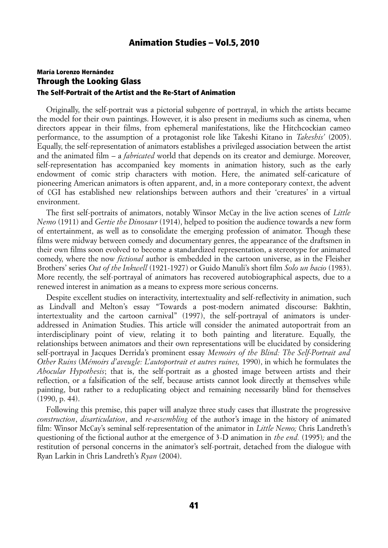# María Lorenzo Hernández Through the Looking Glass The Self-Portrait of the Artist and the Re-Start of Animation

Originally, the self-portrait was a pictorial subgenre of portrayal, in which the artists became the model for their own paintings. However, it is also present in mediums such as cinema, when directors appear in their films, from ephemeral manifestations, like the Hitchcockian cameo performance, to the assumption of a protagonist role like Takeshi Kitano in *Takeshis'* (2005). Equally, the self-representation of animators establishes a privileged association between the artist and the animated film – a *fabricated* world that depends on its creator and demiurge. Moreover, self-representation has accompanied key moments in animation history, such as the early endowment of comic strip characters with motion. Here, the animated self-caricature of pioneering American animators is often apparent, and, in a more conteporary context, the advent of CGI has established new relationships between authors and their 'creatures' in a virtual environment.

The first self-portraits of animators, notably Winsor McCay in the live action scenes of *Little Nemo* (1911) and *Gertie the Dinosaur* (1914), helped to position the audience towards a new form of entertainment, as well as to consolidate the emerging profession of animator. Though these films were midway between comedy and documentary genres, the appearance of the draftsmen in their own films soon evolved to become a standardized representation, a stereotype for animated comedy, where the now *fictional* author is embedded in the cartoon universe, as in the Fleisher Brothers' series *Out of the Inkwell* (1921-1927) or Guido Manuli's short film *Solo un bacio* (1983). More recently, the self-portrayal of animators has recovered autobiographical aspects, due to a renewed interest in animation as a means to express more serious concerns.

Despite excellent studies on interactivity, intertextuality and self-reflectivity in animation, such as Lindvall and Melton's essay "Towards a post-modern animated discourse: Bakhtin, intertextuality and the cartoon carnival" (1997), the self-portrayal of animators is underaddressed in Animation Studies. This article will consider the animated autoportrait from an interdisciplinary point of view, relating it to both painting and literature. Equally, the relationships between animators and their own representations will be elucidated by considering self-portrayal in Jacques Derrida's prominent essay *Memoirs of the Blind: The Self-Portrait and Other Ruins* (*Mémoirs d'aveugle: L'autoportrait et autres ruines,* 1990), in which he formulates the *Abocular Hypothesis*; that is, the self-portrait as a ghosted image between artists and their reflection, or a falsification of the self, because artists cannot look directly at themselves while painting, but rather to a reduplicating object and remaining necessarily blind for themselves (1990, p. 44).

Following this premise, this paper will analyze three study cases that illustrate the progressive *construction*, *disarticulation*, and *re-assembling* of the author's image in the history of animated film: Winsor McCay's seminal self-representation of the animator in *Little Nemo;* Chris Landreth's questioning of the fictional author at the emergence of 3-D animation in *the end.* (1995)*;* and the restitution of personal concerns in the animator's self-portrait, detached from the dialogue with Ryan Larkin in Chris Landreth's *Ryan* (2004).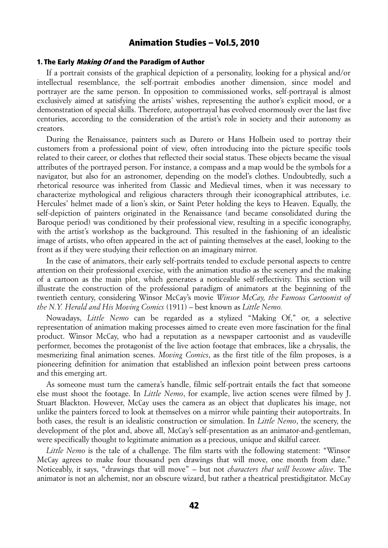#### 1. The Early *Making Of* and the Paradigm of Author

If a portrait consists of the graphical depiction of a personality, looking for a physical and/or intellectual resemblance, the self-portrait embodies another dimension, since model and portrayer are the same person. In opposition to commissioned works, self-portrayal is almost exclusively aimed at satisfying the artists' wishes, representing the author's explicit mood, or a demonstration of special skills. Therefore, autoportrayal has evolved enormously over the last five centuries, according to the consideration of the artist's role in society and their autonomy as creators.

During the Renaissance, painters such as Durero or Hans Holbein used to portray their customers from a professional point of view, often introducing into the picture specific tools related to their career, or clothes that reflected their social status. These objects became the visual attributes of the portrayed person. For instance, a compass and a map would be the symbols for a navigator, but also for an astronomer, depending on the model's clothes. Undoubtedly, such a rhetorical resource was inherited from Classic and Medieval times, when it was necessary to characterize mythological and religious characters through their iconographical attributes, i.e. Hercules' helmet made of a lion's skin, or Saint Peter holding the keys to Heaven. Equally, the self-depiction of painters originated in the Renaissance (and became consolidated during the Baroque period) was conditioned by their professional view, resulting in a specific iconography, with the artist's workshop as the background. This resulted in the fashioning of an idealistic image of artists, who often appeared in the act of painting themselves at the easel, looking to the front as if they were studying their reflection on an imaginary mirror.

In the case of animators, their early self-portraits tended to exclude personal aspects to centre attention on their professional exercise, with the animation studio as the scenery and the making of a cartoon as the main plot, which generates a noticeable self-reflectivity. This section will illustrate the construction of the professional paradigm of animators at the beginning of the twentieth century, considering Winsor McCay's movie *Winsor McCay, the Famous Cartoonist of the N.Y. Herald and His Moving Comics* (1911) – best known as *Little Nemo.*

Nowadays, *Little Nemo* can be regarded as a stylized "Making Of," or, a selective representation of animation making processes aimed to create even more fascination for the final product. Winsor McCay, who had a reputation as a newspaper cartoonist and as vaudeville performer, becomes the protagonist of the live action footage that embraces, like a chrysalis, the mesmerizing final animation scenes. *Moving Comics*, as the first title of the film proposes, is a pioneering definition for animation that established an inflexion point between press cartoons and this emerging art.

As someone must turn the camera's handle, filmic self-portrait entails the fact that someone else must shoot the footage. In *Little Nemo*, for example, live action scenes were filmed by J. Stuart Blackton. However, McCay uses the camera as an object that duplicates his image, not unlike the painters forced to look at themselves on a mirror while painting their autoportraits. In both cases, the result is an idealistic construction or simulation. In *Little Nemo*, the scenery, the development of the plot and, above all, McCay's self-presentation as an animator-and-gentleman, were specifically thought to legitimate animation as a precious, unique and skilful career.

*Little Nemo* is the tale of a challenge. The film starts with the following statement: "Winsor McCay agrees to make four thousand pen drawings that will move, one month from date." Noticeably, it says, "drawings that will move" – but not *characters that will become alive*. The animator is not an alchemist, nor an obscure wizard, but rather a theatrical prestidigitator. McCay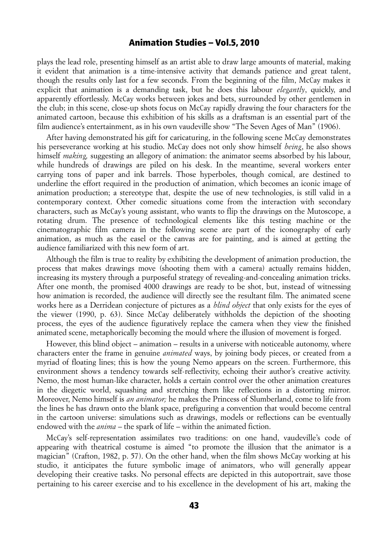plays the lead role, presenting himself as an artist able to draw large amounts of material, making it evident that animation is a time-intensive activity that demands patience and great talent, though the results only last for a few seconds. From the beginning of the film, McCay makes it explicit that animation is a demanding task, but he does this labour *elegantly*, quickly, and apparently effortlessly. McCay works between jokes and bets, surrounded by other gentlemen in the club; in this scene, close-up shots focus on McCay rapidly drawing the four characters for the animated cartoon, because this exhibition of his skills as a draftsman is an essential part of the film audience's entertainment, as in his own vaudeville show "The Seven Ages of Man" (1906).

After having demonstrated his gift for caricaturing, in the following scene McCay demonstrates his perseverance working at his studio. McCay does not only show himself *being*, he also shows himself *making,* suggesting an allegory of animation: the animator seems absorbed by his labour, while hundreds of drawings are piled on his desk. In the meantime, several workers enter carrying tons of paper and ink barrels. Those hyperboles, though comical, are destined to underline the effort required in the production of animation, which becomes an iconic image of animation production; a stereotype that, despite the use of new technologies, is still valid in a contemporary context. Other comedic situations come from the interaction with secondary characters, such as McCay's young assistant, who wants to flip the drawings on the Mutoscope, a rotating drum. The presence of technological elements like this testing machine or the cinematographic film camera in the following scene are part of the iconography of early animation, as much as the easel or the canvas are for painting, and is aimed at getting the audience familiarized with this new form of art.

Although the film is true to reality by exhibiting the development of animation production, the process that makes drawings move (shooting them with a camera) actually remains hidden, increasing its mystery through a purposeful strategy of revealing-and-concealing animation tricks. After one month, the promised 4000 drawings are ready to be shot, but, instead of witnessing how animation is recorded, the audience will directly see the resultant film. The animated scene works here as a Derridean conjecture of pictures as a *blind object* that only exists for the eyes of the viewer (1990, p. 63). Since McCay deliberately withholds the depiction of the shooting process, the eyes of the audience figuratively replace the camera when they view the finished animated scene, metaphorically becoming the mould where the illusion of movement is forged.

However, this blind object – animation – results in a universe with noticeable autonomy, where characters enter the frame in genuine *animated* ways, by joining body pieces, or created from a myriad of floating lines; this is how the young Nemo appears on the screen. Furthermore, this environment shows a tendency towards self-reflectivity, echoing their author's creative activity. Nemo, the most human-like character, holds a certain control over the other animation creatures in the diegetic world, squashing and stretching them like reflections in a distorting mirror. Moreover, Nemo himself is *an animator;* he makes the Princess of Slumberland, come to life from the lines he has drawn onto the blank space, prefiguring a convention that would become central in the cartoon universe: simulations such as drawings, models or reflections can be eventually endowed with the *anima* – the spark of life – within the animated fiction.

McCay's self-representation assimilates two traditions: on one hand, vaudeville's code of appearing with theatrical costume is aimed "to promote the illusion that the animator is a magician" (Crafton, 1982, p. 57). On the other hand, when the film shows McCay working at his studio, it anticipates the future symbolic image of animators, who will generally appear developing their creative tasks. No personal effects are depicted in this autoportrait, save those pertaining to his career exercise and to his excellence in the development of his art, making the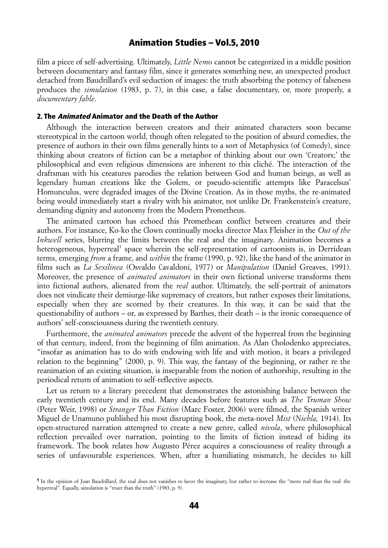film a piece of self-advertising. Ultimately, *Little Nemo* cannot be categorized in a middle position between documentary and fantasy film, since it generates something new, an unexpected product detached from Baudrillard's evil seduction of images: the truth absorbing the potency of falseness produces the *simulation* (1983, p. 7), in this case, a false documentary, or, more properly, a *documentary fable*.

#### 2. The Animated Animator and the Death of the Author

Although the interaction between creators and their animated characters soon became stereotypical in the cartoon world, though often relegated to the position of absurd comedies, the presence of authors in their own films generally hints to a sort of Metaphysics (of Comedy), since thinking about creators of fiction can be a metaphor of thinking about our own 'Creators;' the philosophical and even religious dimensions are inherent to this cliché. The interaction of the draftsman with his creatures parodies the relation between God and human beings, as well as legendary human creations like the Golem, or pseudo-scientific attempts like Paracelsus' Homunculus, were degraded images of the Divine Creation. As in those myths, the re-animated being would immediately start a rivalry with his animator, not unlike Dr. Frankenstein's creature, demanding dignity and autonomy from the Modern Prometheus.

The animated cartoon has echoed this Promethean conflict between creatures and their authors. For instance, Ko-ko the Clown continually mocks director Max Fleisher in the *Out of the Inkwell* series, blurring the limits between the real and the imaginary. Animation becomes a heterogeneous, hyperreal<sup>[1](#page-3-0)</sup> space wherein the self-representation of cartoonists is, in Derridean terms, emerging *from* a frame, and *within* the frame (1990, p. 92), like the hand of the animator in films such as *La Sexilinea* (Osvaldo Cavaldoni, 1977) or *Manipulation* (Daniel Greaves, 1991). Moreover, the presence of *animated animators* in their own fictional universe transforms them into fictional authors, alienated from the *real* author. Ultimately, the self-portrait of animators does not vindicate their demiurge-like supremacy of creators, but rather exposes their limitations, especially when they are scorned by their creatures. In this way, it can be said that the questionability of authors – or, as expressed by Barthes, their death – is the ironic consequence of authors' self-consciousness during the twentieth century.

Furthermore, the *animated animators* precede the advent of the hyperreal from the beginning of that century, indeed, from the beginning of film animation. As Alan Cholodenko appreciates, "insofar as animation has to do with endowing with life and with motion, it bears a privileged relation to the beginning" (2000, p. 9). This way, the fantasy of the beginning, or rather re the reanimation of an existing situation, is inseparable from the notion of authorship, resulting in the periodical return of animation to self-reflective aspects.

Let us return to a literary precedent that demonstrates the astonishing balance between the early twentieth century and its end. Many decades before features such as *The Truman Show* (Peter Weir, 1998) or *Stranger Than Fiction* (Marc Foster, 2006) were filmed, the Spanish writer Miguel de Unamuno published his most disrupting book, the meta-novel *Mist* (*Niebla,* 1914). Its open-structured narration attempted to create a new genre, called *nivola*, where philosophical reflection prevailed over narration, pointing to the limits of fiction instead of hiding its framework. The book relates how Augusto Pérez acquires a consciousness of reality through a series of unfavourable experiences. When, after a humiliating mismatch, he decides to kill

<span id="page-3-0"></span><sup>1</sup> In the opinion of Jean Baudrillard, the real does not vanishes to favor the imaginary, but rather to increase the "more real than the real: the hyperreal". Equally, simulation is "truer than the truth" (1983, p. 9).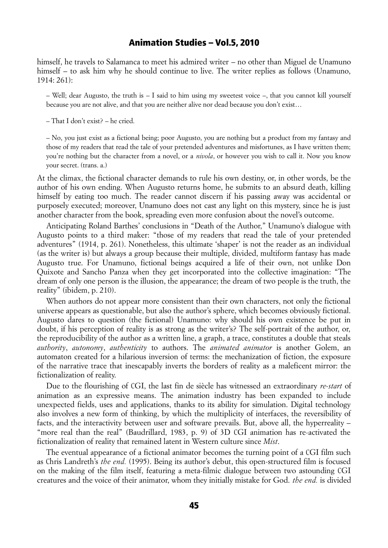himself, he travels to Salamanca to meet his admired writer – no other than Miguel de Unamuno himself – to ask him why he should continue to live. The writer replies as follows (Unamuno, 1914: 261):

– Well; dear Augusto, the truth is – I said to him using my sweetest voice –, that you cannot kill yourself because you are not alive, and that you are neither alive nor dead because you don't exist…

– That I don't exist? – he cried.

– No, you just exist as a fictional being; poor Augusto, you are nothing but a product from my fantasy and those of my readers that read the tale of your pretended adventures and misfortunes, as I have written them; you're nothing but the character from a novel, or a *nivola*, or however you wish to call it. Now you know your secret. (trans. a.)

At the climax, the fictional character demands to rule his own destiny, or, in other words, be the author of his own ending. When Augusto returns home, he submits to an absurd death, killing himself by eating too much. The reader cannot discern if his passing away was accidental or purposely executed; moreover, Unamuno does not cast any light on this mystery, since he is just another character from the book, spreading even more confusion about the novel's outcome.

Anticipating Roland Barthes' conclusions in "Death of the Author," Unamuno's dialogue with Augusto points to a third maker: "those of my readers that read the tale of your pretended adventures" (1914, p. 261). Nonetheless, this ultimate 'shaper' is not the reader as an individual (as the writer is) but always a group because their multiple, divided, multiform fantasy has made Augusto true. For Unamuno, fictional beings acquired a life of their own, not unlike Don Quixote and Sancho Panza when they get incorporated into the collective imagination: "The dream of only one person is the illusion, the appearance; the dream of two people is the truth, the reality" (ibidem, p. 210).

When authors do not appear more consistent than their own characters, not only the fictional universe appears as questionable, but also the author's sphere, which becomes obviously fictional. Augusto dares to question (the fictional) Unamuno: why should his own existence be put in doubt, if his perception of reality is as strong as the writer's? The self-portrait of the author, or, the reproducibility of the author as a written line, a graph, a trace, constitutes a double that steals *authority*, *autonomy*, *authenticity* to authors. The *animated animator* is another Golem, an automaton created for a hilarious inversion of terms: the mechanization of fiction, the exposure of the narrative trace that inescapably inverts the borders of reality as a maleficent mirror: the fictionalization of reality.

Due to the flourishing of CGI, the last fin de siècle has witnessed an extraordinary *re-start* of animation as an expressive means. The animation industry has been expanded to include unexpected fields, uses and applications, thanks to its ability for simulation. Digital technology also involves a new form of thinking, by which the multiplicity of interfaces, the reversibility of facts, and the interactivity between user and software prevails. But, above all, the hyperreality – "more real than the real" (Baudrillard, 1983, p. 9) of 3D CGI animation has re-activated the fictionalization of reality that remained latent in Western culture since *Mist*.

The eventual appearance of a fictional animator becomes the turning point of a CGI film such as Chris Landreth's *the end.* (1995). Being its author's debut, this open-structured film is focused on the making of the film itself, featuring a meta-filmic dialogue between two astounding CGI creatures and the voice of their animator, whom they initially mistake for God. *the end.* is divided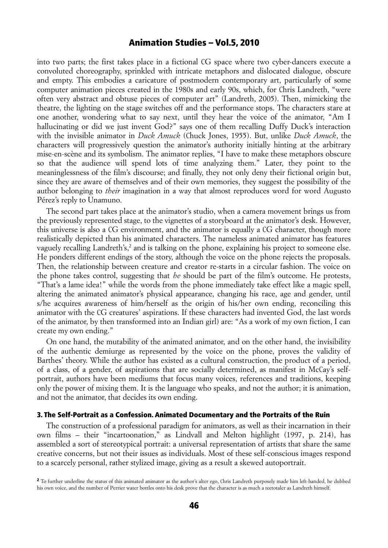into two parts; the first takes place in a fictional CG space where two cyber-dancers execute a convoluted choreography, sprinkled with intricate metaphors and dislocated dialogue, obscure and empty. This embodies a caricature of postmodern contemporary art, particularly of some computer animation pieces created in the 1980s and early 90s, which, for Chris Landreth, "were often very abstract and obtuse pieces of computer art" (Landreth, 2005). Then, mimicking the theatre, the lighting on the stage switches off and the performance stops. The characters stare at one another, wondering what to say next, until they hear the voice of the animator, "Am I hallucinating or did we just invent God?" says one of them recalling Duffy Duck's interaction with the invisible animator in *Duck Amuck* (Chuck Jones, 1955). But, unlike *Duck Amuck*, the characters will progressively question the animator's authority initially hinting at the arbitrary mise-en-scène and its symbolism. The animator replies, "I have to make these metaphors obscure so that the audience will spend lots of time analyzing them." Later, they point to the meaninglessness of the film's discourse; and finally, they not only deny their fictional origin but, since they are aware of themselves and of their own memories, they suggest the possibility of the author belonging to *their* imagination in a way that almost reproduces word for word Augusto Pérez's reply to Unamuno.

The second part takes place at the animator's studio, when a camera movement brings us from the previously represented stage, to the vignettes of a storyboard at the animator's desk. However, this universe is also a CG environment, and the animator is equally a CG character, though more realistically depicted than his animated characters. The nameless animated animator has features vaguely recalling Landreth's,<sup>[2](#page-5-0)</sup> and is talking on the phone, explaining his project to someone else. He ponders different endings of the story, although the voice on the phone rejects the proposals. Then, the relationship between creature and creator re-starts in a circular fashion. The voice on the phone takes control, suggesting that *he* should be part of the film's outcome. He protests, "That's a lame idea!" while the words from the phone immediately take effect like a magic spell, altering the animated animator's physical appearance, changing his race, age and gender, until s/he acquires awareness of him/herself as the origin of his/her own ending, reconciling this animator with the CG creatures' aspirations. If these characters had invented God, the last words of the animator, by then transformed into an Indian girl) are: "As a work of my own fiction, I can create my own ending."

On one hand, the mutability of the animated animator, and on the other hand, the invisibility of the authentic demiurge as represented by the voice on the phone, proves the validity of Barthes' theory. While the author has existed as a cultural construction, the product of a period, of a class, of a gender, of aspirations that are socially determined, as manifest in McCay's selfportrait, authors have been mediums that focus many voices, references and traditions, keeping only the power of mixing them. It is the language who speaks, and not the author; it is animation, and not the animator, that decides its own ending.

#### 3. The Self-Portrait as a Confession. Animated Documentary and the Portraits of the Ruin

The construction of a professional paradigm for animators, as well as their incarnation in their own films – their "incartoonation," as Lindvall and Melton highlight (1997, p. 214), has assembled a sort of stereotypical portrait: a universal representation of artists that share the same creative concerns, but not their issues as individuals. Most of these self-conscious images respond to a scarcely personal, rather stylized image, giving as a result a skewed autoportrait.

<span id="page-5-0"></span><sup>2</sup> To further underline the status of this animated animator as the author's alter ego, Chris Landreth purposely made him left-handed, he dubbed his own voice, and the number of Perrier water bottles onto his desk prove that the character is as much a teetotaler as Landreth himself.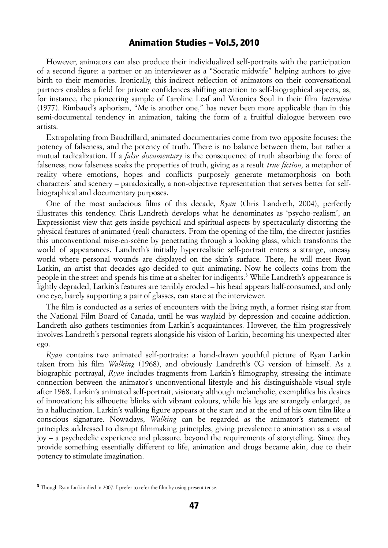However, animators can also produce their individualized self-portraits with the participation of a second figure: a partner or an interviewer as a "Socratic midwife" helping authors to give birth to their memories. Ironically, this indirect reflection of animators on their conversational partners enables a field for private confidences shifting attention to self-biographical aspects, as, for instance, the pioneering sample of Caroline Leaf and Veronica Soul in their film *Interview* (1977). Rimbaud's aphorism, "Me is another one," has never been more applicable than in this semi-documental tendency in animation, taking the form of a fruitful dialogue between two artists.

Extrapolating from Baudrillard, animated documentaries come from two opposite focuses: the potency of falseness, and the potency of truth. There is no balance between them, but rather a mutual radicalization. If a *false documentary* is the consequence of truth absorbing the force of falseness, now falseness soaks the properties of truth, giving as a result *true fiction,* a metaphor of reality where emotions, hopes and conflicts purposely generate metamorphosis on both characters' and scenery – paradoxically, a non-objective representation that serves better for selfbiographical and documentary purposes.

One of the most audacious films of this decade, *Ryan* (Chris Landreth, 2004), perfectly illustrates this tendency. Chris Landreth develops what he denominates as 'psycho-realism', an Expressionist view that gets inside psychical and spiritual aspects by spectacularly distorting the physical features of animated (real) characters. From the opening of the film, the director justifies this unconventional mise-en-scène by penetrating through a looking glass, which transforms the world of appearances. Landreth's initially hyperrealistic self-portrait enters a strange, uneasy world where personal wounds are displayed on the skin's surface. There, he will meet Ryan Larkin, an artist that decades ago decided to quit animating. Now he collects coins from the people in the street and spends his time at a shelter for indigents.<sup>[3](#page-6-0)</sup> While Landreth's appearance is lightly degraded, Larkin's features are terribly eroded – his head appears half-consumed, and only one eye, barely supporting a pair of glasses, can stare at the interviewer.

The film is conducted as a series of encounters with the living myth, a former rising star from the National Film Board of Canada, until he was waylaid by depression and cocaine addiction. Landreth also gathers testimonies from Larkin's acquaintances. However, the film progressively involves Landreth's personal regrets alongside his vision of Larkin, becoming his unexpected alter ego.

*Ryan* contains two animated self-portraits: a hand-drawn youthful picture of Ryan Larkin taken from his film *Walking* (1968), and obviously Landreth's CG version of himself. As a biographic portrayal, *Ryan* includes fragments from Larkin's filmography, stressing the intimate connection between the animator's unconventional lifestyle and his distinguishable visual style after 1968. Larkin's animated self-portrait, visionary although melancholic, exemplifies his desires of innovation; his silhouette blinks with vibrant colours, while his legs are strangely enlarged, as in a hallucination. Larkin's walking figure appears at the start and at the end of his own film like a conscious signature. Nowadays, *Walking* can be regarded as the animator's statement of principles addressed to disrupt filmmaking principles, giving prevalence to animation as a visual joy – a psychedelic experience and pleasure, beyond the requirements of storytelling. Since they provide something essentially different to life, animation and drugs became akin, due to their potency to stimulate imagination.

<span id="page-6-0"></span><sup>&</sup>lt;sup>3</sup> Though Ryan Larkin died in 2007, I prefer to refer the film by using present tense.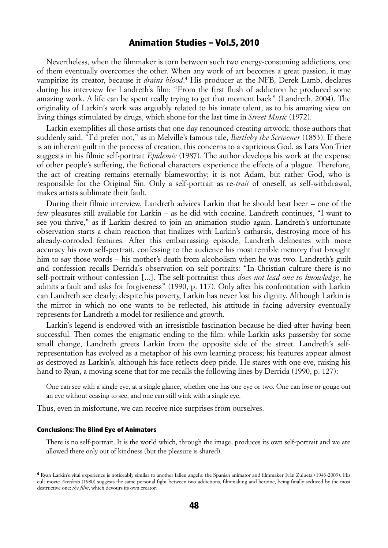Nevertheless, when the filmmaker is torn between such two energy-consuming addictions, one of them eventually overcomes the other. When any work of art becomes a great passion, it may vampirize its creator, because it *drains blood*. [4](#page-7-0) His producer at the NFB, Derek Lamb, declares during his interview for Landreth's film: "From the first flush of addiction he produced some amazing work. A life can be spent really trying to get that moment back" (Landreth, 2004). The originality of Larkin's work was arguably related to his innate talent, as to his amazing view on living things stimulated by drugs, which shone for the last time in *Street Music* (1972).

Larkin exemplifies all those artists that one day renounced creating artwork; those authors that suddenly said, "I'd prefer not," as in Melville's famous tale, *Bartleby the Scrivener* (1853). If there is an inherent guilt in the process of creation, this concerns to a capricious God, as Lars Von Trier suggests in his filmic self-portrait *Epidemic* (1987). The author develops his work at the expense of other people's suffering, the fictional characters experience the effects of a plague. Therefore, the act of creating remains eternally blameworthy; it is not Adam, but rather God, who is responsible for the Original Sin. Only a self-portrait as re-*trait* of oneself, as self-withdrawal, makes artists sublimate their fault.

During their filmic interview, Landreth advices Larkin that he should beat beer – one of the few pleasures still available for Larkin – as he did with cocaine. Landreth continues, "I want to see you thrive," as if Larkin desired to join an animation studio again. Landreth's unfortunate observation starts a chain reaction that finalizes with Larkin's catharsis, destroying more of his already-corroded features. After this embarrassing episode, Landreth delineates with more accuracy his own self-portrait, confessing to the audience his most terrible memory that brought him to say those words – his mother's death from alcoholism when he was two. Landreth's guilt and confession recalls Derrida's observation on self-portraits: "In Christian culture there is no self-portrait without confession [...]. The self-portraitist thus *does not lead one to knowledge*, he admits a fault and asks for forgiveness" (1990, p. 117). Only after his confrontation with Larkin can Landreth see clearly; despite his poverty, Larkin has never lost his dignity. Although Larkin is the mirror in which no one wants to be reflected, his attitude in facing adversity eventually represents for Landreth a model for resilience and growth.

Larkin's legend is endowed with an irresistible fascination because he died after having been successful. Then comes the enigmatic ending to the film: while Larkin asks passersby for some small change, Landreth greets Larkin from the opposite side of the street. Landreth's selfrepresentation has evolved as a metaphor of his own learning process; his features appear almost as destroyed as Larkin's, although his face reflects deep pride. He stares with one eye, raising his hand to Ryan, a moving scene that for me recalls the following lines by Derrida (1990, p. 127):

One can see with a single eye, at a single glance, whether one has one eye or two. One can lose or gouge out an eye without ceasing to see, and one can still wink with a single eye.

Thus, even in misfortune, we can receive nice surprises from ourselves.

#### Conclusions: The Blind Eye of Animators

There is no self-portrait. It is the world which, through the image, produces its own self-portrait and we are allowed there only out of kindness (but the pleasure is shared).

<span id="page-7-0"></span><sup>4</sup> Ryan Larkin's vital experience is noticeably similar to another fallen angel's: the Spanish animator and filmmaker Iván Zulueta (1943-2009). His cult movie *Arrebato* (1980) suggests the same personal fight between two addictions, filmmaking and heroine, being finally seduced by the most destructive one: *the film*, which devours its own creator.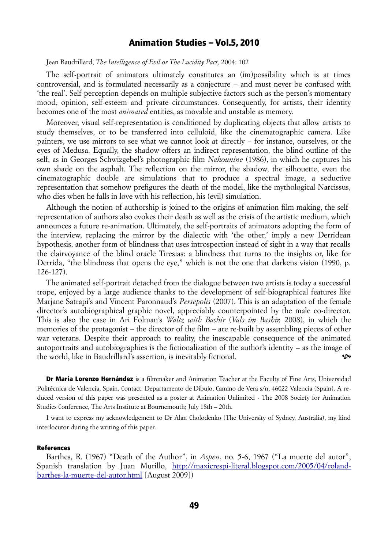Jean Baudrillard, *The Intelligence of Evil or The Lucidity Pact,* 2004: 102

The self-portrait of animators ultimately constitutes an (im)possibility which is at times controversial, and is formulated necessarily as a conjecture – and must never be confused with 'the real'. Self-perception depends on multiple subjective factors such as the person's momentary mood, opinion, self-esteem and private circumstances. Consequently, for artists, their identity becomes one of the most *animated* entities, as movable and unstable as memory.

Moreover, visual self-representation is conditioned by duplicating objects that allow artists to study themselves, or to be transferred into celluloid, like the cinematographic camera. Like painters, we use mirrors to see what we cannot look at directly – for instance, ourselves, or the eyes of Medusa. Equally, the shadow offers an indirect representation, the blind outline of the self, as in Georges Schwizgebel's photographic film *Nakounine* (1986), in which he captures his own shade on the asphalt. The reflection on the mirror, the shadow, the silhouette, even the cinematographic double are simulations that to produce a spectral image, a seductive representation that somehow prefigures the death of the model, like the mythological Narcissus, who dies when he falls in love with his reflection, his (evil) simulation.

Although the notion of authorship is joined to the origins of animation film making, the selfrepresentation of authors also evokes their death as well as the crisis of the artistic medium, which announces a future re-animation. Ultimately, the self-portraits of animators adopting the form of the interview, replacing the mirror by the dialectic with 'the other,' imply a new Derridean hypothesis, another form of blindness that uses introspection instead of sight in a way that recalls the clairvoyance of the blind oracle Tiresias: a blindness that turns to the insights or, like for Derrida, "the blindness that opens the eye," which is not the one that darkens vision (1990, p. 126-127).

The animated self-portrait detached from the dialogue between two artists is today a successful trope, enjoyed by a large audience thanks to the development of self-biographical features like Marjane Satrapi's and Vincent Paronnaud's *Persepolis* (2007). This is an adaptation of the female director's autobiographical graphic novel, appreciably counterpointed by the male co-director. This is also the case in Ari Folman's *Waltz with Bashir* (*Vals im Bashir,* 2008), in which the memories of the protagonist – the director of the film – are re-built by assembling pieces of other war veterans. Despite their approach to reality, the inescapable consequence of the animated autoportraits and autobiographies is the fictionalization of the author's identity – as the image of the world, like in Baudrillard's assertion, is inevitably fictional.

**Dr María Lorenzo Hernández** is a filmmaker and Animation Teacher at the Faculty of Fine Arts, Universidad Politécnica de Valencia, Spain. Contact: Departamento de Dibujo, Camino de Vera s/n, 46022 Valencia (Spain). A reduced version of this paper was presented as a poster at Animation Unlimited - The 2008 Society for Animation Studies Conference, The Arts Institute at Bournemouth; July 18th – 20th.

I want to express my acknowledgement to Dr Alan Cholodenko (The University of Sydney, Australia), my kind interlocutor during the writing of this paper.

#### References

Barthes, R. (1967) "Death of the Author", in *Aspen*, no. 5-6, 1967 ("La muerte del autor", Spanish translation by Juan Murillo, [http://maxicrespi-literal.blogspot.com/2005/04/roland](http://maxicrespi-literal.blogspot.com/2005/04/roland-barthes-la-muerte-del-autor.html)[barthes-la-muerte-del-autor.html](http://maxicrespi-literal.blogspot.com/2005/04/roland-barthes-la-muerte-del-autor.html) [August 2009])